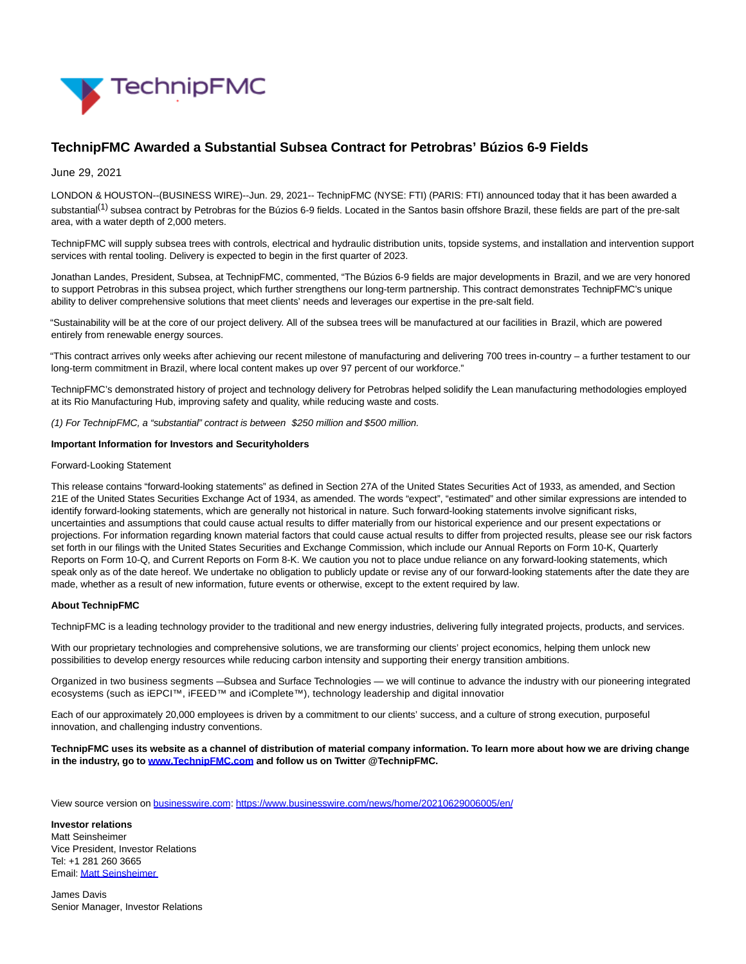

# **TechnipFMC Awarded a Substantial Subsea Contract for Petrobras' Búzios 6-9 Fields**

June 29, 2021

LONDON & HOUSTON--(BUSINESS WIRE)--Jun. 29, 2021-- TechnipFMC (NYSE: FTI) (PARIS: FTI) announced today that it has been awarded a substantial<sup>(1)</sup> subsea contract by Petrobras for the Búzios 6-9 fields. Located in the Santos basin offshore Brazil, these fields are part of the pre-salt area, with a water depth of 2,000 meters.

TechnipFMC will supply subsea trees with controls, electrical and hydraulic distribution units, topside systems, and installation and intervention support services with rental tooling. Delivery is expected to begin in the first quarter of 2023.

Jonathan Landes, President, Subsea, at TechnipFMC, commented, "The Búzios 6-9 fields are major developments in Brazil, and we are very honored to support Petrobras in this subsea project, which further strengthens our long-term partnership. This contract demonstrates TechnipFMC's unique ability to deliver comprehensive solutions that meet clients' needs and leverages our expertise in the pre-salt field.

"Sustainability will be at the core of our project delivery. All of the subsea trees will be manufactured at our facilities in Brazil, which are powered entirely from renewable energy sources.

"This contract arrives only weeks after achieving our recent milestone of manufacturing and delivering 700 trees in-country – a further testament to our long-term commitment in Brazil, where local content makes up over 97 percent of our workforce."

TechnipFMC's demonstrated history of project and technology delivery for Petrobras helped solidify the Lean manufacturing methodologies employed at its Rio Manufacturing Hub, improving safety and quality, while reducing waste and costs.

(1) For TechnipFMC, a "substantial" contract is between \$250 million and \$500 million.

### **Important Information for Investors and Securityholders**

#### Forward-Looking Statement

This release contains "forward-looking statements" as defined in Section 27A of the United States Securities Act of 1933, as amended, and Section 21E of the United States Securities Exchange Act of 1934, as amended. The words "expect", "estimated" and other similar expressions are intended to identify forward-looking statements, which are generally not historical in nature. Such forward-looking statements involve significant risks, uncertainties and assumptions that could cause actual results to differ materially from our historical experience and our present expectations or projections. For information regarding known material factors that could cause actual results to differ from projected results, please see our risk factors set forth in our filings with the United States Securities and Exchange Commission, which include our Annual Reports on Form 10-K, Quarterly Reports on Form 10-Q, and Current Reports on Form 8-K. We caution you not to place undue reliance on any forward-looking statements, which speak only as of the date hereof. We undertake no obligation to publicly update or revise any of our forward-looking statements after the date they are made, whether as a result of new information, future events or otherwise, except to the extent required by law.

#### **About TechnipFMC**

TechnipFMC is a leading technology provider to the traditional and new energy industries, delivering fully integrated projects, products, and services.

With our proprietary technologies and comprehensive solutions, we are transforming our clients' project economics, helping them unlock new possibilities to develop energy resources while reducing carbon intensity and supporting their energy transition ambitions.

Organized in two business segments — Subsea and Surface Technologies — we will continue to advance the industry with our pioneering integrated ecosystems (such as iEPCI™, iFEED™ and iComplete™), technology leadership and digital innovation

Each of our approximately 20,000 employees is driven by a commitment to our clients' success, and a culture of strong execution, purposeful innovation, and challenging industry conventions.

**TechnipFMC uses its website as a channel of distribution of material company information. To learn more about how we are driving change in the industry, go to [www.TechnipFMC.com a](https://cts.businesswire.com/ct/CT?id=smartlink&url=http%3A%2F%2Fwww.technipfmc.com%2F&esheet=52453157&newsitemid=20210629006005&lan=en-US&anchor=www.TechnipFMC.com&index=1&md5=0484759b47cc981f814cd44de205945a)nd follow us on Twitter @TechnipFMC.**

View source version on [businesswire.com:](http://businesswire.com/)<https://www.businesswire.com/news/home/20210629006005/en/>

**Investor relations** Matt Seinsheimer Vice President, Investor Relations Tel: +1 281 260 3665 Email[: Matt Seinsheimer](mailto:InvestorRelations@TechnipFMC.com)

James Davis Senior Manager, Investor Relations